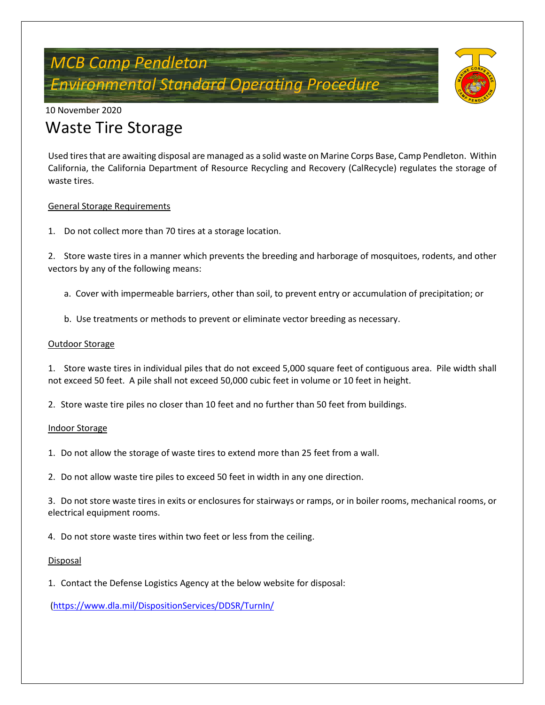# *MCB Camp Pendleton Environmental Standard Operating Procedure*



10 November 2020

## Waste Tire Storage

Used tires that are awaiting disposal are managed as a solid waste on Marine Corps Base, Camp Pendleton. Within California, the California Department of Resource Recycling and Recovery (CalRecycle) regulates the storage of waste tires.

#### General Storage Requirements

1. Do not collect more than 70 tires at a storage location.

2. Store waste tires in a manner which prevents the breeding and harborage of mosquitoes, rodents, and other vectors by any of the following means:

- a. Cover with impermeable barriers, other than soil, to prevent entry or accumulation of precipitation; or
- b. Use treatments or methods to prevent or eliminate vector breeding as necessary.

#### Outdoor Storage

1. Store waste tires in individual piles that do not exceed 5,000 square feet of contiguous area. Pile width shall not exceed 50 feet. A pile shall not exceed 50,000 cubic feet in volume or 10 feet in height.

2. Store waste tire piles no closer than 10 feet and no further than 50 feet from buildings.

#### Indoor Storage

1. Do not allow the storage of waste tires to extend more than 25 feet from a wall.

2. Do not allow waste tire piles to exceed 50 feet in width in any one direction.

3. Do not store waste tires in exits or enclosures for stairways or ramps, or in boiler rooms, mechanical rooms, or electrical equipment rooms.

4. Do not store waste tires within two feet or less from the ceiling.

#### **Disposal**

1. Contact the Defense Logistics Agency at the below website for disposal:

[\(https://www.dla.mil/DispositionServices/DDSR/TurnIn/](https://www.dla.mil/DispositionServices/DDSR/TurnIn/)